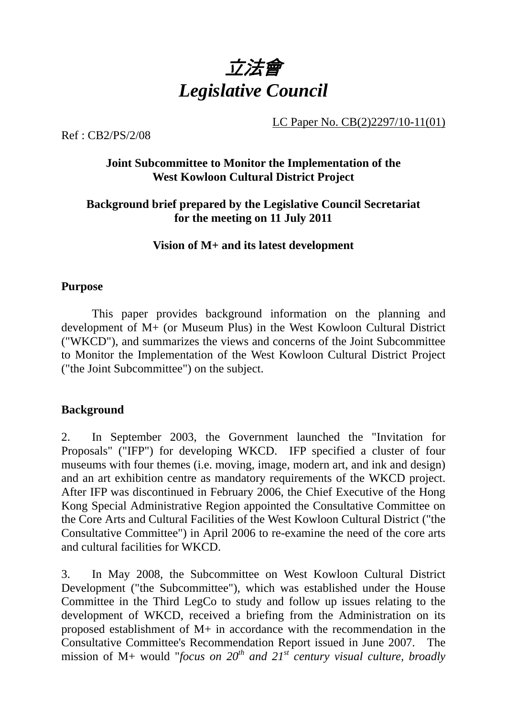

LC Paper No. CB(2)2297/10-11(01)

Ref : CB2/PS/2/08

## **Joint Subcommittee to Monitor the Implementation of the West Kowloon Cultural District Project**

## **Background brief prepared by the Legislative Council Secretariat for the meeting on 11 July 2011**

### **Vision of M+ and its latest development**

#### **Purpose**

This paper provides background information on the planning and development of M+ (or Museum Plus) in the West Kowloon Cultural District ("WKCD"), and summarizes the views and concerns of the Joint Subcommittee to Monitor the Implementation of the West Kowloon Cultural District Project ("the Joint Subcommittee") on the subject.

#### **Background**

2. In September 2003, the Government launched the "Invitation for Proposals" ("IFP") for developing WKCD. IFP specified a cluster of four museums with four themes (i.e. moving, image, modern art, and ink and design) and an art exhibition centre as mandatory requirements of the WKCD project. After IFP was discontinued in February 2006, the Chief Executive of the Hong Kong Special Administrative Region appointed the Consultative Committee on the Core Arts and Cultural Facilities of the West Kowloon Cultural District ("the Consultative Committee") in April 2006 to re-examine the need of the core arts and cultural facilities for WKCD.

3. In May 2008, the Subcommittee on West Kowloon Cultural District Development ("the Subcommittee"), which was established under the House Committee in the Third LegCo to study and follow up issues relating to the development of WKCD, received a briefing from the Administration on its proposed establishment of M+ in accordance with the recommendation in the Consultative Committee's Recommendation Report issued in June 2007. The mission of M+ would "*focus on 20<sup>th</sup> and 21<sup>st</sup> century visual culture, broadly*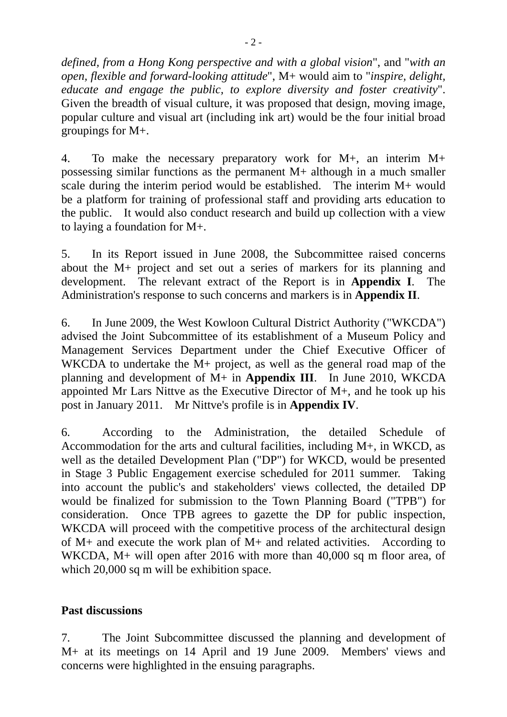*defined, from a Hong Kong perspective and with a global vision*", and "*with an open, flexible and forward-looking attitude*", M+ would aim to "*inspire, delight, educate and engage the public, to explore diversity and foster creativity*". Given the breadth of visual culture, it was proposed that design, moving image, popular culture and visual art (including ink art) would be the four initial broad groupings for M+.

4. To make the necessary preparatory work for M+, an interim M+ possessing similar functions as the permanent M+ although in a much smaller scale during the interim period would be established. The interim M+ would be a platform for training of professional staff and providing arts education to the public. It would also conduct research and build up collection with a view to laying a foundation for M+.

5. In its Report issued in June 2008, the Subcommittee raised concerns about the M+ project and set out a series of markers for its planning and development. The relevant extract of the Report is in **Appendix I**. The Administration's response to such concerns and markers is in **Appendix II**.

6. In June 2009, the West Kowloon Cultural District Authority ("WKCDA") advised the Joint Subcommittee of its establishment of a Museum Policy and Management Services Department under the Chief Executive Officer of WKCDA to undertake the M+ project, as well as the general road map of the planning and development of M+ in **Appendix III**. In June 2010, WKCDA appointed Mr Lars Nittve as the Executive Director of M+, and he took up his post in January 2011. Mr Nittve's profile is in **Appendix IV**.

6. According to the Administration, the detailed Schedule of Accommodation for the arts and cultural facilities, including M+, in WKCD, as well as the detailed Development Plan ("DP") for WKCD, would be presented in Stage 3 Public Engagement exercise scheduled for 2011 summer. Taking into account the public's and stakeholders' views collected, the detailed DP would be finalized for submission to the Town Planning Board ("TPB") for consideration. Once TPB agrees to gazette the DP for public inspection, WKCDA will proceed with the competitive process of the architectural design of M+ and execute the work plan of M+ and related activities. According to WKCDA, M+ will open after 2016 with more than 40,000 sq m floor area, of which 20,000 sq m will be exhibition space.

## **Past discussions**

7. The Joint Subcommittee discussed the planning and development of M+ at its meetings on 14 April and 19 June 2009. Members' views and concerns were highlighted in the ensuing paragraphs.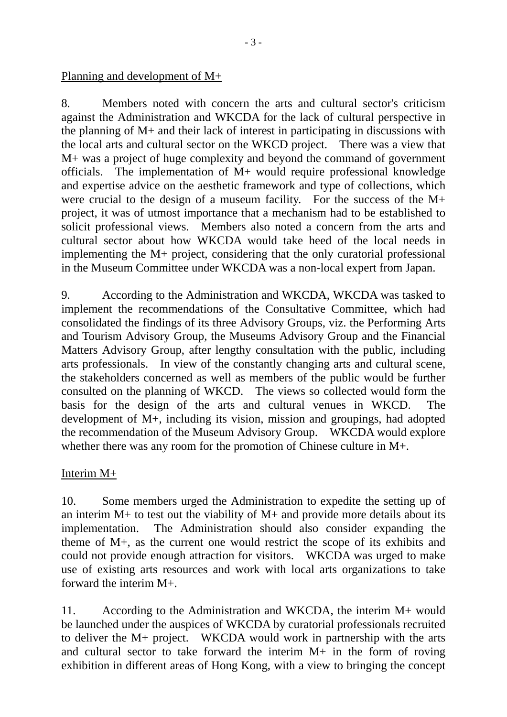Planning and development of M+

8. Members noted with concern the arts and cultural sector's criticism against the Administration and WKCDA for the lack of cultural perspective in the planning of M+ and their lack of interest in participating in discussions with the local arts and cultural sector on the WKCD project. There was a view that M+ was a project of huge complexity and beyond the command of government officials. The implementation of M+ would require professional knowledge and expertise advice on the aesthetic framework and type of collections, which were crucial to the design of a museum facility. For the success of the M+ project, it was of utmost importance that a mechanism had to be established to solicit professional views. Members also noted a concern from the arts and cultural sector about how WKCDA would take heed of the local needs in implementing the M+ project, considering that the only curatorial professional in the Museum Committee under WKCDA was a non-local expert from Japan.

9. According to the Administration and WKCDA, WKCDA was tasked to implement the recommendations of the Consultative Committee, which had consolidated the findings of its three Advisory Groups, viz. the Performing Arts and Tourism Advisory Group, the Museums Advisory Group and the Financial Matters Advisory Group, after lengthy consultation with the public, including arts professionals. In view of the constantly changing arts and cultural scene, the stakeholders concerned as well as members of the public would be further consulted on the planning of WKCD. The views so collected would form the basis for the design of the arts and cultural venues in WKCD. The development of M+, including its vision, mission and groupings, had adopted the recommendation of the Museum Advisory Group. WKCDA would explore whether there was any room for the promotion of Chinese culture in M+.

## Interim M+

10. Some members urged the Administration to expedite the setting up of an interim  $M$ + to test out the viability of  $M$ + and provide more details about its implementation. The Administration should also consider expanding the theme of M+, as the current one would restrict the scope of its exhibits and could not provide enough attraction for visitors. WKCDA was urged to make use of existing arts resources and work with local arts organizations to take forward the interim M+.

11. According to the Administration and WKCDA, the interim M+ would be launched under the auspices of WKCDA by curatorial professionals recruited to deliver the M+ project. WKCDA would work in partnership with the arts and cultural sector to take forward the interim M+ in the form of roving exhibition in different areas of Hong Kong, with a view to bringing the concept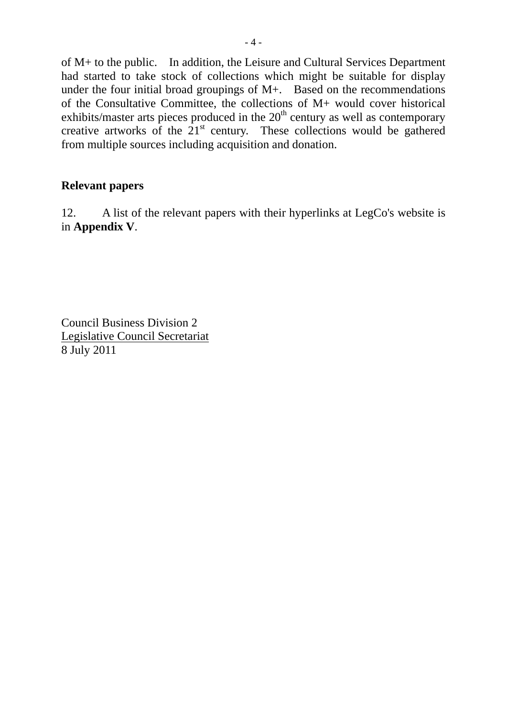of M+ to the public. In addition, the Leisure and Cultural Services Department had started to take stock of collections which might be suitable for display under the four initial broad groupings of M+. Based on the recommendations of the Consultative Committee, the collections of M+ would cover historical exhibits/master arts pieces produced in the  $20<sup>th</sup>$  century as well as contemporary creative artworks of the  $21<sup>st</sup>$  century. These collections would be gathered from multiple sources including acquisition and donation.

## **Relevant papers**

12. A list of the relevant papers with their hyperlinks at LegCo's website is in **Appendix V**.

Council Business Division 2 Legislative Council Secretariat 8 July 2011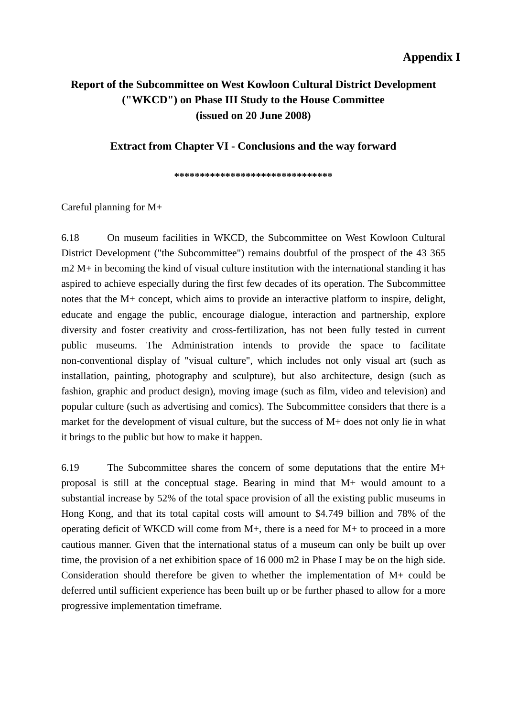#### **Appendix I**

## **Report of the Subcommittee on West Kowloon Cultural District Development ("WKCD") on Phase III Study to the House Committee (issued on 20 June 2008)**

**Extract from Chapter VI - Conclusions and the way forward** 

**\*\*\*\*\*\*\*\*\*\*\*\*\*\*\*\*\*\*\*\*\*\*\*\*\*\*\*\*\*\*\*** 

#### Careful planning for M+

6.18 On museum facilities in WKCD, the Subcommittee on West Kowloon Cultural District Development ("the Subcommittee") remains doubtful of the prospect of the 43 365 m2 M+ in becoming the kind of visual culture institution with the international standing it has aspired to achieve especially during the first few decades of its operation. The Subcommittee notes that the M+ concept, which aims to provide an interactive platform to inspire, delight, educate and engage the public, encourage dialogue, interaction and partnership, explore diversity and foster creativity and cross-fertilization, has not been fully tested in current public museums. The Administration intends to provide the space to facilitate non-conventional display of "visual culture", which includes not only visual art (such as installation, painting, photography and sculpture), but also architecture, design (such as fashion, graphic and product design), moving image (such as film, video and television) and popular culture (such as advertising and comics). The Subcommittee considers that there is a market for the development of visual culture, but the success of M+ does not only lie in what it brings to the public but how to make it happen.

6.19 The Subcommittee shares the concern of some deputations that the entire M+ proposal is still at the conceptual stage. Bearing in mind that M+ would amount to a substantial increase by 52% of the total space provision of all the existing public museums in Hong Kong, and that its total capital costs will amount to \$4.749 billion and 78% of the operating deficit of WKCD will come from M+, there is a need for M+ to proceed in a more cautious manner. Given that the international status of a museum can only be built up over time, the provision of a net exhibition space of 16 000 m2 in Phase I may be on the high side. Consideration should therefore be given to whether the implementation of M+ could be deferred until sufficient experience has been built up or be further phased to allow for a more progressive implementation timeframe.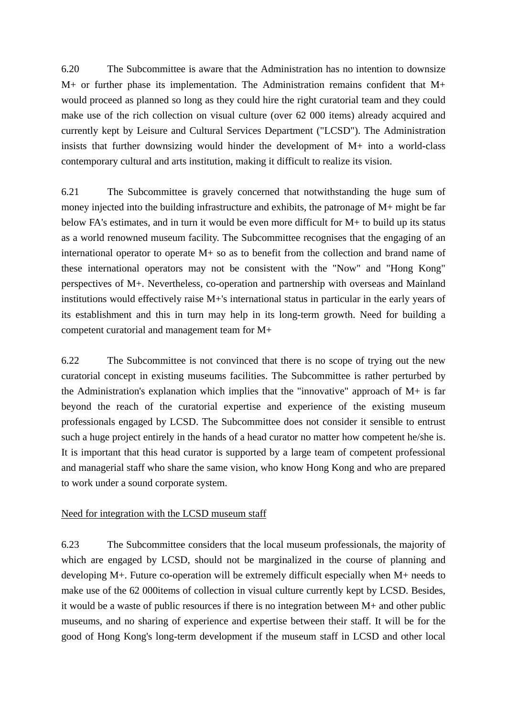6.20 The Subcommittee is aware that the Administration has no intention to downsize M+ or further phase its implementation. The Administration remains confident that M+ would proceed as planned so long as they could hire the right curatorial team and they could make use of the rich collection on visual culture (over 62 000 items) already acquired and currently kept by Leisure and Cultural Services Department ("LCSD"). The Administration insists that further downsizing would hinder the development of M+ into a world-class contemporary cultural and arts institution, making it difficult to realize its vision.

6.21 The Subcommittee is gravely concerned that notwithstanding the huge sum of money injected into the building infrastructure and exhibits, the patronage of M+ might be far below FA's estimates, and in turn it would be even more difficult for M+ to build up its status as a world renowned museum facility. The Subcommittee recognises that the engaging of an international operator to operate M+ so as to benefit from the collection and brand name of these international operators may not be consistent with the "Now" and "Hong Kong" perspectives of M+. Nevertheless, co-operation and partnership with overseas and Mainland institutions would effectively raise M+'s international status in particular in the early years of its establishment and this in turn may help in its long-term growth. Need for building a competent curatorial and management team for M+

6.22 The Subcommittee is not convinced that there is no scope of trying out the new curatorial concept in existing museums facilities. The Subcommittee is rather perturbed by the Administration's explanation which implies that the "innovative" approach of M+ is far beyond the reach of the curatorial expertise and experience of the existing museum professionals engaged by LCSD. The Subcommittee does not consider it sensible to entrust such a huge project entirely in the hands of a head curator no matter how competent he/she is. It is important that this head curator is supported by a large team of competent professional and managerial staff who share the same vision, who know Hong Kong and who are prepared to work under a sound corporate system.

#### Need for integration with the LCSD museum staff

6.23 The Subcommittee considers that the local museum professionals, the majority of which are engaged by LCSD, should not be marginalized in the course of planning and developing M+. Future co-operation will be extremely difficult especially when M+ needs to make use of the 62 000items of collection in visual culture currently kept by LCSD. Besides, it would be a waste of public resources if there is no integration between M+ and other public museums, and no sharing of experience and expertise between their staff. It will be for the good of Hong Kong's long-term development if the museum staff in LCSD and other local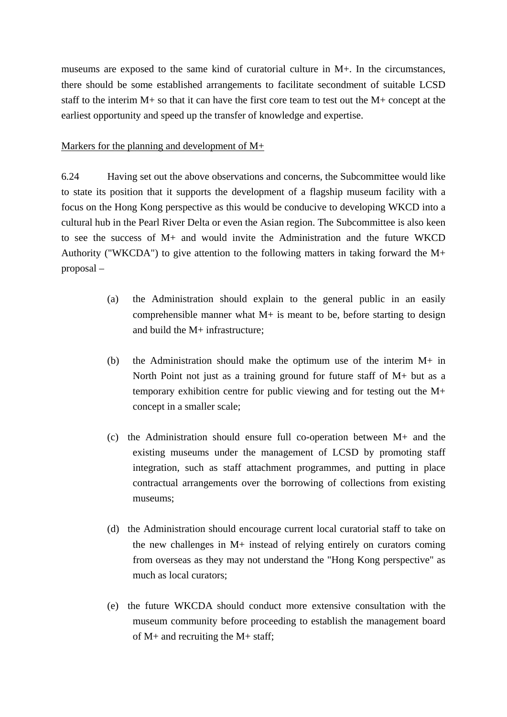museums are exposed to the same kind of curatorial culture in M+. In the circumstances, there should be some established arrangements to facilitate secondment of suitable LCSD staff to the interim M+ so that it can have the first core team to test out the M+ concept at the earliest opportunity and speed up the transfer of knowledge and expertise.

#### Markers for the planning and development of M+

6.24 Having set out the above observations and concerns, the Subcommittee would like to state its position that it supports the development of a flagship museum facility with a focus on the Hong Kong perspective as this would be conducive to developing WKCD into a cultural hub in the Pearl River Delta or even the Asian region. The Subcommittee is also keen to see the success of M+ and would invite the Administration and the future WKCD Authority ("WKCDA") to give attention to the following matters in taking forward the M+ proposal –

- (a) the Administration should explain to the general public in an easily comprehensible manner what  $M<sub>+</sub>$  is meant to be, before starting to design and build the M+ infrastructure;
- (b) the Administration should make the optimum use of the interim  $M+$  in North Point not just as a training ground for future staff of M+ but as a temporary exhibition centre for public viewing and for testing out the M+ concept in a smaller scale;
- (c) the Administration should ensure full co-operation between M+ and the existing museums under the management of LCSD by promoting staff integration, such as staff attachment programmes, and putting in place contractual arrangements over the borrowing of collections from existing museums;
- (d) the Administration should encourage current local curatorial staff to take on the new challenges in M+ instead of relying entirely on curators coming from overseas as they may not understand the "Hong Kong perspective" as much as local curators;
- (e) the future WKCDA should conduct more extensive consultation with the museum community before proceeding to establish the management board of M+ and recruiting the M+ staff;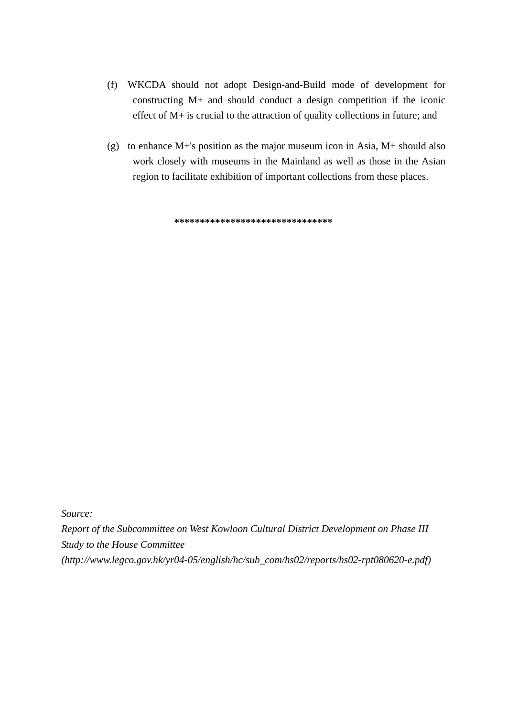- (f) WKCDA should not adopt Design-and-Build mode of development for constructing M+ and should conduct a design competition if the iconic effect of M+ is crucial to the attraction of quality collections in future; and
- (g) to enhance M+'s position as the major museum icon in Asia, M+ should also work closely with museums in the Mainland as well as those in the Asian region to facilitate exhibition of important collections from these places.

**\*\*\*\*\*\*\*\*\*\*\*\*\*\*\*\*\*\*\*\*\*\*\*\*\*\*\*\*\*\*\*** 

*Source:* 

*Report of the Subcommittee on West Kowloon Cultural District Development on Phase III Study to the House Committee (http://www.legco.gov.hk/yr04-05/english/hc/sub\_com/hs02/reports/hs02-rpt080620-e.pdf)*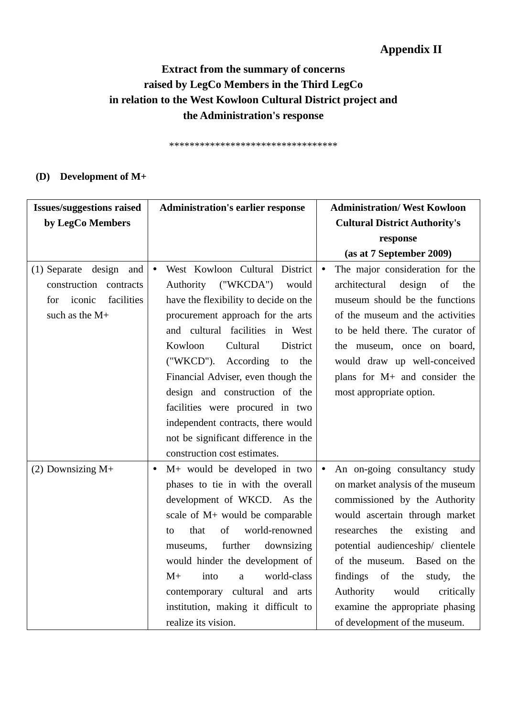## **Appendix II**

# **Extract from the summary of concerns raised by LegCo Members in the Third LegCo in relation to the West Kowloon Cultural District project and the Administration's response**

\*\*\*\*\*\*\*\*\*\*\*\*\*\*\*\*\*\*\*\*\*\*\*\*\*\*\*\*\*\*\*\*\*

#### **(D) Development of M+**

| <b>Issues/suggestions raised</b>                                                                              | <b>Administration's earlier response</b>                                                                                                                                                                                                                                                                                                                                                                                                                                                           | <b>Administration/ West Kowloon</b>                                                                                                                                                                                                                                                                                                                                                                |
|---------------------------------------------------------------------------------------------------------------|----------------------------------------------------------------------------------------------------------------------------------------------------------------------------------------------------------------------------------------------------------------------------------------------------------------------------------------------------------------------------------------------------------------------------------------------------------------------------------------------------|----------------------------------------------------------------------------------------------------------------------------------------------------------------------------------------------------------------------------------------------------------------------------------------------------------------------------------------------------------------------------------------------------|
| by LegCo Members                                                                                              |                                                                                                                                                                                                                                                                                                                                                                                                                                                                                                    | <b>Cultural District Authority's</b>                                                                                                                                                                                                                                                                                                                                                               |
|                                                                                                               |                                                                                                                                                                                                                                                                                                                                                                                                                                                                                                    | response                                                                                                                                                                                                                                                                                                                                                                                           |
|                                                                                                               |                                                                                                                                                                                                                                                                                                                                                                                                                                                                                                    | (as at 7 September 2009)                                                                                                                                                                                                                                                                                                                                                                           |
| $(1)$ Separate<br>design<br>and<br>construction<br>contracts<br>iconic<br>facilities<br>for<br>such as the M+ | West Kowloon Cultural District<br>$\bullet$<br>("WKCDA")<br>Authority<br>would<br>have the flexibility to decide on the<br>procurement approach for the arts<br>and cultural facilities in West<br>Cultural<br>Kowloon<br>District<br>("WKCD").<br>According<br>the<br>to<br>Financial Adviser, even though the<br>design and construction of the<br>facilities were procured in two<br>independent contracts, there would<br>not be significant difference in the<br>construction cost estimates. | The major consideration for the<br>$\bullet$<br>design<br>architectural<br>of<br>the<br>museum should be the functions<br>of the museum and the activities<br>to be held there. The curator of<br>the museum, once on board,<br>would draw up well-conceived<br>plans for M+ and consider the<br>most appropriate option.                                                                          |
| $(2)$ Downsizing M+                                                                                           | M+ would be developed in two<br>$\bullet$<br>phases to tie in with the overall<br>development of WKCD. As the<br>scale of M+ would be comparable<br>of<br>world-renowned<br>that<br>to<br>further<br>downsizing<br>museums,<br>would hinder the development of<br>world-class<br>$M+$<br>into<br>a<br>contemporary cultural and arts<br>institution, making it difficult to<br>realize its vision.                                                                                                 | An on-going consultancy study<br>on market analysis of the museum<br>commissioned by the Authority<br>would ascertain through market<br>researches<br>the<br>existing<br>and<br>potential audienceship/ clientele<br>of the museum. Based on the<br>findings<br>of<br>the<br>study,<br>the<br>Authority<br>would<br>critically<br>examine the appropriate phasing<br>of development of the museum. |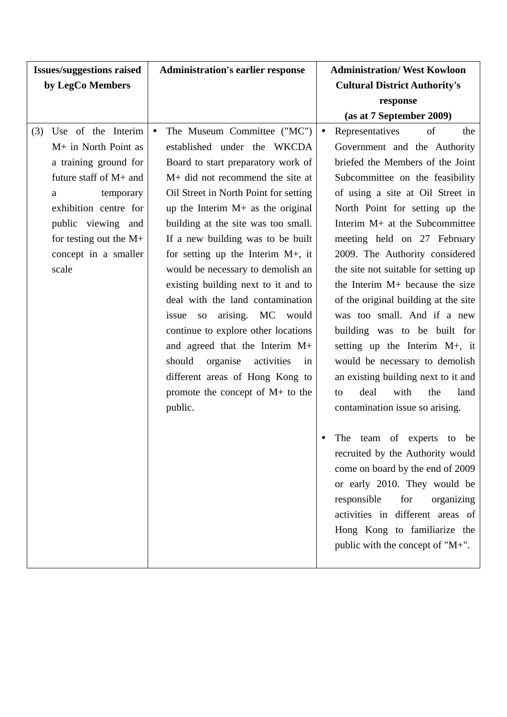| <b>Issues/suggestions raised</b>                                                                                                                                                                                                   | <b>Administration's earlier response</b>                                                                                                                                                                                                                                                                                                                                                                                                                                                                                                                                                                                                                                                                        | <b>Administration/ West Kowloon</b>                                                                                                                                                                                                                                                                                                                                                                                                                                                                                                                                                                                                                                                                                                 |
|------------------------------------------------------------------------------------------------------------------------------------------------------------------------------------------------------------------------------------|-----------------------------------------------------------------------------------------------------------------------------------------------------------------------------------------------------------------------------------------------------------------------------------------------------------------------------------------------------------------------------------------------------------------------------------------------------------------------------------------------------------------------------------------------------------------------------------------------------------------------------------------------------------------------------------------------------------------|-------------------------------------------------------------------------------------------------------------------------------------------------------------------------------------------------------------------------------------------------------------------------------------------------------------------------------------------------------------------------------------------------------------------------------------------------------------------------------------------------------------------------------------------------------------------------------------------------------------------------------------------------------------------------------------------------------------------------------------|
| by LegCo Members                                                                                                                                                                                                                   |                                                                                                                                                                                                                                                                                                                                                                                                                                                                                                                                                                                                                                                                                                                 | <b>Cultural District Authority's</b>                                                                                                                                                                                                                                                                                                                                                                                                                                                                                                                                                                                                                                                                                                |
|                                                                                                                                                                                                                                    |                                                                                                                                                                                                                                                                                                                                                                                                                                                                                                                                                                                                                                                                                                                 | response                                                                                                                                                                                                                                                                                                                                                                                                                                                                                                                                                                                                                                                                                                                            |
|                                                                                                                                                                                                                                    |                                                                                                                                                                                                                                                                                                                                                                                                                                                                                                                                                                                                                                                                                                                 | (as at 7 September 2009)                                                                                                                                                                                                                                                                                                                                                                                                                                                                                                                                                                                                                                                                                                            |
| Use of the Interim<br>(3)<br>M+ in North Point as<br>a training ground for<br>future staff of M+ and<br>temporary<br>a<br>exhibition centre for<br>public viewing and<br>for testing out the $M+$<br>concept in a smaller<br>scale | The Museum Committee ("MC")<br>$\bullet$<br>established under the WKCDA<br>Board to start preparatory work of<br>M+ did not recommend the site at<br>Oil Street in North Point for setting<br>up the Interim $M$ + as the original<br>building at the site was too small.<br>If a new building was to be built<br>for setting up the Interim $M+$ , it<br>would be necessary to demolish an<br>existing building next to it and to<br>deal with the land contamination<br>arising. MC would<br>issue so<br>continue to explore other locations<br>and agreed that the Interim M+<br>organise<br>should<br>activities<br>in<br>different areas of Hong Kong to<br>promote the concept of $M$ + to the<br>public. | of<br>Representatives<br>$\bullet$<br>the<br>Government and the Authority<br>briefed the Members of the Joint<br>Subcommittee on the feasibility<br>of using a site at Oil Street in<br>North Point for setting up the<br>Interim M+ at the Subcommittee<br>meeting held on 27 February<br>2009. The Authority considered<br>the site not suitable for setting up<br>the Interim M+ because the size<br>of the original building at the site<br>was too small. And if a new<br>building was to be built for<br>setting up the Interim M+, it<br>would be necessary to demolish<br>an existing building next to it and<br>with<br>deal<br>the<br>land<br>to<br>contamination issue so arising.<br>The<br>team of experts<br>be<br>to |
|                                                                                                                                                                                                                                    |                                                                                                                                                                                                                                                                                                                                                                                                                                                                                                                                                                                                                                                                                                                 | recruited by the Authority would<br>come on board by the end of 2009<br>or early 2010. They would be<br>responsible<br>for<br>organizing                                                                                                                                                                                                                                                                                                                                                                                                                                                                                                                                                                                            |
|                                                                                                                                                                                                                                    |                                                                                                                                                                                                                                                                                                                                                                                                                                                                                                                                                                                                                                                                                                                 | activities in different areas of<br>Hong Kong to familiarize the<br>public with the concept of "M+".                                                                                                                                                                                                                                                                                                                                                                                                                                                                                                                                                                                                                                |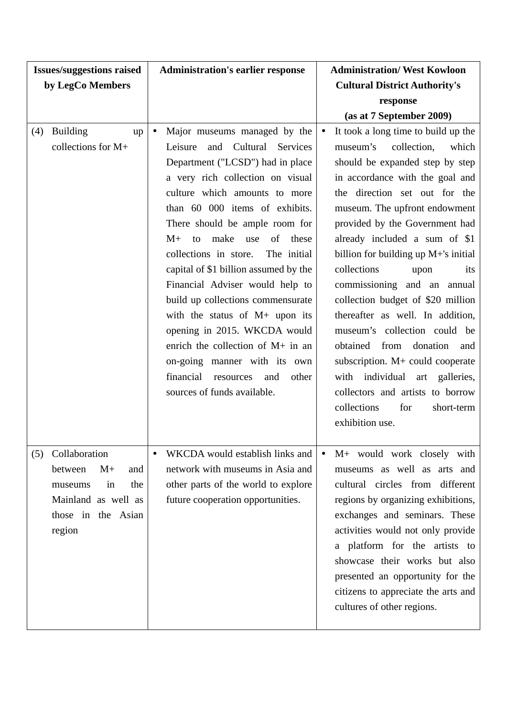| <b>Issues/suggestions raised</b>                                                                                              | <b>Administration's earlier response</b>                                                                                                                                                                                                                                                                                                                                                                                                                                                                                                                                                                                                                                           | <b>Administration/ West Kowloon</b>                                                                                                                                                                                                                                                                                                                                                                                                                                                                                                                                                                                                                                                                         |
|-------------------------------------------------------------------------------------------------------------------------------|------------------------------------------------------------------------------------------------------------------------------------------------------------------------------------------------------------------------------------------------------------------------------------------------------------------------------------------------------------------------------------------------------------------------------------------------------------------------------------------------------------------------------------------------------------------------------------------------------------------------------------------------------------------------------------|-------------------------------------------------------------------------------------------------------------------------------------------------------------------------------------------------------------------------------------------------------------------------------------------------------------------------------------------------------------------------------------------------------------------------------------------------------------------------------------------------------------------------------------------------------------------------------------------------------------------------------------------------------------------------------------------------------------|
| by LegCo Members                                                                                                              |                                                                                                                                                                                                                                                                                                                                                                                                                                                                                                                                                                                                                                                                                    | <b>Cultural District Authority's</b>                                                                                                                                                                                                                                                                                                                                                                                                                                                                                                                                                                                                                                                                        |
|                                                                                                                               |                                                                                                                                                                                                                                                                                                                                                                                                                                                                                                                                                                                                                                                                                    | response                                                                                                                                                                                                                                                                                                                                                                                                                                                                                                                                                                                                                                                                                                    |
|                                                                                                                               |                                                                                                                                                                                                                                                                                                                                                                                                                                                                                                                                                                                                                                                                                    | (as at 7 September 2009)                                                                                                                                                                                                                                                                                                                                                                                                                                                                                                                                                                                                                                                                                    |
| <b>Building</b><br>(4)<br>up<br>collections for M+                                                                            | Major museums managed by the<br>$\bullet$<br>and Cultural<br>Leisure<br>Services<br>Department ("LCSD") had in place<br>a very rich collection on visual<br>culture which amounts to more<br>than 60 000 items of exhibits.<br>There should be ample room for<br>$M+$<br>make<br>of<br>these<br>use<br>to<br>collections in store.<br>The initial<br>capital of \$1 billion assumed by the<br>Financial Adviser would help to<br>build up collections commensurate<br>with the status of M+ upon its<br>opening in 2015. WKCDA would<br>enrich the collection of M+ in an<br>on-going manner with its own<br>financial<br>resources<br>other<br>and<br>sources of funds available. | It took a long time to build up the<br>museum's<br>collection,<br>which<br>should be expanded step by step<br>in accordance with the goal and<br>the direction set out for the<br>museum. The upfront endowment<br>provided by the Government had<br>already included a sum of \$1<br>billion for building up $M+$ 's initial<br>collections<br>upon<br>its<br>commissioning and an annual<br>collection budget of \$20 million<br>thereafter as well. In addition,<br>museum's collection could be<br>from<br>obtained<br>donation<br>and<br>subscription. M+ could cooperate<br>with individual art galleries,<br>collectors and artists to borrow<br>collections<br>for<br>short-term<br>exhibition use. |
| Collaboration<br>(5)<br>between<br>$M+$<br>and<br>in<br>the<br>museums<br>Mainland as well as<br>those in the Asian<br>region | WKCDA would establish links and<br>network with museums in Asia and<br>other parts of the world to explore<br>future cooperation opportunities.                                                                                                                                                                                                                                                                                                                                                                                                                                                                                                                                    | M+ would work closely with<br>museums as well as arts and<br>cultural circles from different<br>regions by organizing exhibitions,<br>exchanges and seminars. These<br>activities would not only provide<br>a platform for the artists to<br>showcase their works but also<br>presented an opportunity for the<br>citizens to appreciate the arts and<br>cultures of other regions.                                                                                                                                                                                                                                                                                                                         |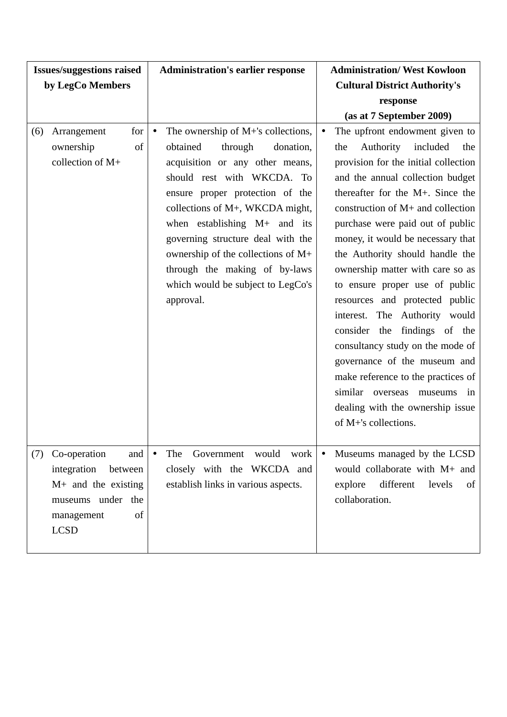| <b>Issues/suggestions raised</b>                                                                                                      | <b>Administration's earlier response</b>                                                                                                                                                                                                                                                                                                                                                                                   | <b>Administration/ West Kowloon</b>                                                                                                                                                                                                                                                                                                                                                                                                                                                                                                                              |
|---------------------------------------------------------------------------------------------------------------------------------------|----------------------------------------------------------------------------------------------------------------------------------------------------------------------------------------------------------------------------------------------------------------------------------------------------------------------------------------------------------------------------------------------------------------------------|------------------------------------------------------------------------------------------------------------------------------------------------------------------------------------------------------------------------------------------------------------------------------------------------------------------------------------------------------------------------------------------------------------------------------------------------------------------------------------------------------------------------------------------------------------------|
| by LegCo Members                                                                                                                      |                                                                                                                                                                                                                                                                                                                                                                                                                            | <b>Cultural District Authority's</b>                                                                                                                                                                                                                                                                                                                                                                                                                                                                                                                             |
|                                                                                                                                       |                                                                                                                                                                                                                                                                                                                                                                                                                            | response                                                                                                                                                                                                                                                                                                                                                                                                                                                                                                                                                         |
|                                                                                                                                       |                                                                                                                                                                                                                                                                                                                                                                                                                            | (as at 7 September 2009)                                                                                                                                                                                                                                                                                                                                                                                                                                                                                                                                         |
| Arrangement<br>for<br>(6)<br>ownership<br>of<br>collection of M+                                                                      | The ownership of M+'s collections,<br>$\bullet$<br>obtained<br>through<br>donation,<br>acquisition or any other means,<br>should rest with WKCDA. To<br>ensure proper protection of the<br>collections of M+, WKCDA might,<br>when establishing $M+$ and its<br>governing structure deal with the<br>ownership of the collections of M+<br>through the making of by-laws<br>which would be subject to LegCo's<br>approval. | The upfront endowment given to<br>$\bullet$<br>Authority<br>included<br>the<br>the<br>provision for the initial collection<br>and the annual collection budget<br>thereafter for the M+. Since the<br>construction of M+ and collection<br>purchase were paid out of public<br>money, it would be necessary that<br>the Authority should handle the<br>ownership matter with care so as<br>to ensure proper use of public<br>resources and protected public<br>interest. The Authority would<br>consider the findings of the<br>consultancy study on the mode of |
|                                                                                                                                       |                                                                                                                                                                                                                                                                                                                                                                                                                            | governance of the museum and<br>make reference to the practices of<br>similar overseas<br>museums<br>in<br>dealing with the ownership issue<br>of M+'s collections.                                                                                                                                                                                                                                                                                                                                                                                              |
| Co-operation<br>(7)<br>and<br>integration<br>between<br>$M+$ and the existing<br>museums under the<br>of<br>management<br><b>LCSD</b> | Government<br>would work<br>The<br>$\bullet$<br>closely with the WKCDA and<br>establish links in various aspects.                                                                                                                                                                                                                                                                                                          | Museums managed by the LCSD<br>would collaborate with M+ and<br>different<br>explore<br>levels<br>of<br>collaboration.                                                                                                                                                                                                                                                                                                                                                                                                                                           |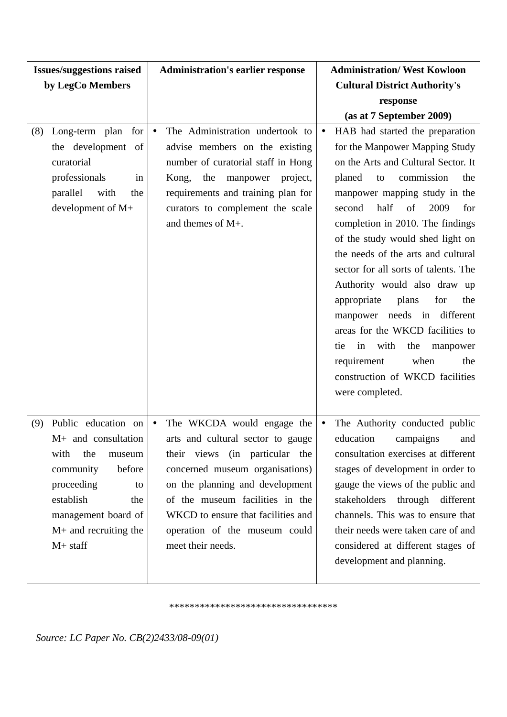| <b>Issues/suggestions raised</b>                                                                                                                                                                            | <b>Administration's earlier response</b>                                                                                                                                                                                                                                                                            | <b>Administration/ West Kowloon</b>                                                                                                                                                                                                                                                                                                                                                                                                                                                                                                                                                                                                                           |
|-------------------------------------------------------------------------------------------------------------------------------------------------------------------------------------------------------------|---------------------------------------------------------------------------------------------------------------------------------------------------------------------------------------------------------------------------------------------------------------------------------------------------------------------|---------------------------------------------------------------------------------------------------------------------------------------------------------------------------------------------------------------------------------------------------------------------------------------------------------------------------------------------------------------------------------------------------------------------------------------------------------------------------------------------------------------------------------------------------------------------------------------------------------------------------------------------------------------|
| by LegCo Members                                                                                                                                                                                            |                                                                                                                                                                                                                                                                                                                     | <b>Cultural District Authority's</b>                                                                                                                                                                                                                                                                                                                                                                                                                                                                                                                                                                                                                          |
|                                                                                                                                                                                                             |                                                                                                                                                                                                                                                                                                                     | response                                                                                                                                                                                                                                                                                                                                                                                                                                                                                                                                                                                                                                                      |
|                                                                                                                                                                                                             |                                                                                                                                                                                                                                                                                                                     | (as at 7 September 2009)                                                                                                                                                                                                                                                                                                                                                                                                                                                                                                                                                                                                                                      |
| Long-term plan for<br>(8)<br>the development of<br>curatorial<br>professionals<br>in<br>parallel<br>with<br>the<br>development of M+                                                                        | The Administration undertook to<br>$\bullet$<br>advise members on the existing<br>number of curatorial staff in Hong<br>manpower project,<br>Kong,<br>the<br>requirements and training plan for<br>curators to complement the scale<br>and themes of M+.                                                            | HAB had started the preparation<br>$\bullet$<br>for the Manpower Mapping Study<br>on the Arts and Cultural Sector. It<br>planed<br>commission<br>the<br>to<br>manpower mapping study in the<br>half<br>2009<br>second<br>of<br>for<br>completion in 2010. The findings<br>of the study would shed light on<br>the needs of the arts and cultural<br>sector for all sorts of talents. The<br>Authority would also draw up<br>appropriate<br>plans<br>for<br>the<br>manpower needs in different<br>areas for the WKCD facilities to<br>in<br>with<br>the<br>tie<br>manpower<br>requirement<br>when<br>the<br>construction of WKCD facilities<br>were completed. |
| Public education on<br>(9)<br>$M+$ and consultation<br>with<br>the<br>museum<br>community<br>before<br>proceeding<br>to<br>establish<br>the<br>management board of<br>$M+$ and recruiting the<br>$M+$ staff | The WKCDA would engage the<br>$\bullet$<br>arts and cultural sector to gauge<br>their views (in particular the<br>concerned museum organisations)<br>on the planning and development<br>of the museum facilities in the<br>WKCD to ensure that facilities and<br>operation of the museum could<br>meet their needs. | The Authority conducted public<br>education<br>campaigns<br>and<br>consultation exercises at different<br>stages of development in order to<br>gauge the views of the public and<br>stakeholders through different<br>channels. This was to ensure that<br>their needs were taken care of and<br>considered at different stages of<br>development and planning.                                                                                                                                                                                                                                                                                               |

\*\*\*\*\*\*\*\*\*\*\*\*\*\*\*\*\*\*\*\*\*\*\*\*\*\*\*\*\*\*\*\*\*

*Source: LC Paper No. CB(2)2433/08-09(01)*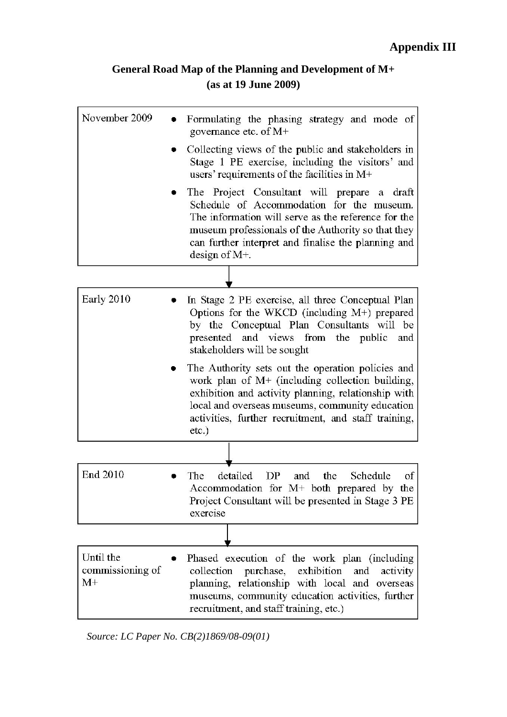# **General Road Map of the Planning and Development of M+ (as at 19 June 2009)**

| November 2009                         | Formulating the phasing strategy and mode of<br>governance etc. of $M+$                                                                                                                                                                                                               |
|---------------------------------------|---------------------------------------------------------------------------------------------------------------------------------------------------------------------------------------------------------------------------------------------------------------------------------------|
|                                       | Collecting views of the public and stakeholders in<br>Stage 1 PE exercise, including the visitors' and<br>users' requirements of the facilities in $M+$                                                                                                                               |
|                                       | The Project Consultant will prepare a draft<br>Schedule of Accommodation for the museum.<br>The information will serve as the reference for the<br>museum professionals of the Authority so that they<br>can further interpret and finalise the planning and<br>design of $M_{\pm}$ . |
|                                       |                                                                                                                                                                                                                                                                                       |
| Early 2010                            | In Stage 2 PE exercise, all three Conceptual Plan<br>Options for the WKCD (including M+) prepared<br>by the Conceptual Plan Consultants will be<br>presented and views from the public<br>and<br>stakeholders will be sought                                                          |
|                                       | The Authority sets out the operation policies and<br>work plan of $M+$ (including collection building,<br>exhibition and activity planning, relationship with<br>local and overseas museums, community education<br>activities, further recruitment, and staff training,<br>$etc.$ )  |
|                                       |                                                                                                                                                                                                                                                                                       |
| End 2010                              | detailed<br>DP<br>the<br>Schedule<br>The<br>and<br>of<br>Accommodation for $M$ + both prepared by the<br>Project Consultant will be presented in Stage 3 PE<br>exercise                                                                                                               |
|                                       |                                                                                                                                                                                                                                                                                       |
| Until the<br>commissioning of<br>$M+$ | Phased execution of the work plan (including<br>collection purchase, exhibition<br>and<br>activity<br>planning, relationship with local and overseas<br>museums, community education activities, further<br>recruitment, and staff training, etc.)                                    |

*Source: LC Paper No. CB(2)1869/08-09(01)*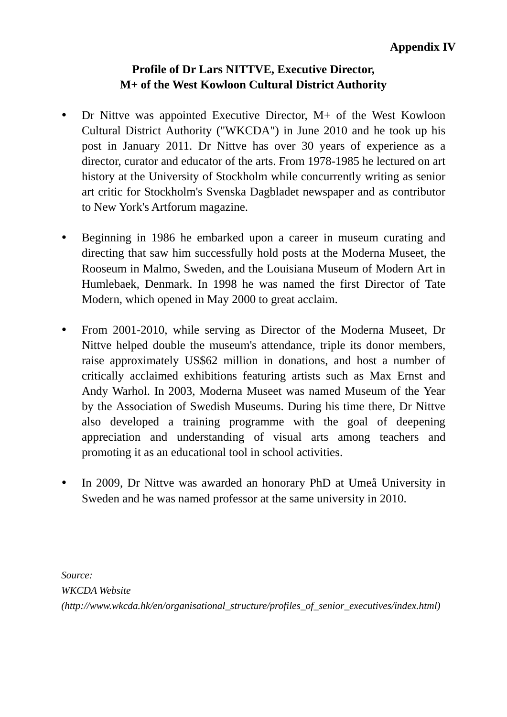## **Profile of Dr Lars NITTVE, Executive Director, M+ of the West Kowloon Cultural District Authority**

- Dr Nittve was appointed Executive Director, M+ of the West Kowloon Cultural District Authority ("WKCDA") in June 2010 and he took up his post in January 2011. Dr Nittve has over 30 years of experience as a director, curator and educator of the arts. From 1978-1985 he lectured on art history at the University of Stockholm while concurrently writing as senior art critic for Stockholm's Svenska Dagbladet newspaper and as contributor to New York's Artforum magazine.
- Beginning in 1986 he embarked upon a career in museum curating and directing that saw him successfully hold posts at the Moderna Museet, the Rooseum in Malmo, Sweden, and the Louisiana Museum of Modern Art in Humlebaek, Denmark. In 1998 he was named the first Director of Tate Modern, which opened in May 2000 to great acclaim.
- From 2001-2010, while serving as Director of the Moderna Museet, Dr Nittve helped double the museum's attendance, triple its donor members, raise approximately US\$62 million in donations, and host a number of critically acclaimed exhibitions featuring artists such as Max Ernst and Andy Warhol. In 2003, Moderna Museet was named Museum of the Year by the Association of Swedish Museums. During his time there, Dr Nittve also developed a training programme with the goal of deepening appreciation and understanding of visual arts among teachers and promoting it as an educational tool in school activities.
- In 2009, Dr Nittve was awarded an honorary PhD at Umeå University in Sweden and he was named professor at the same university in 2010.

*Source: WKCDA Website (http://www.wkcda.hk/en/organisational\_structure/profiles\_of\_senior\_executives/index.html)*